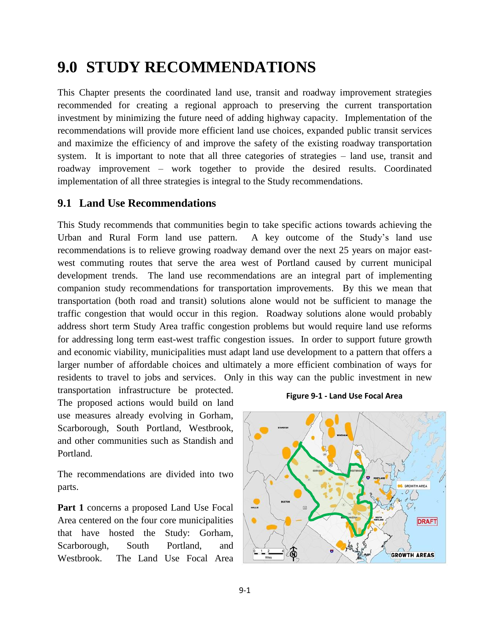# **9.0 STUDY RECOMMENDATIONS**

This Chapter presents the coordinated land use, transit and roadway improvement strategies recommended for creating a regional approach to preserving the current transportation investment by minimizing the future need of adding highway capacity. Implementation of the recommendations will provide more efficient land use choices, expanded public transit services and maximize the efficiency of and improve the safety of the existing roadway transportation system. It is important to note that all three categories of strategies – land use, transit and roadway improvement – work together to provide the desired results. Coordinated implementation of all three strategies is integral to the Study recommendations.

### **9.1 Land Use Recommendations**

This Study recommends that communities begin to take specific actions towards achieving the Urban and Rural Form land use pattern. A key outcome of the Study's land use recommendations is to relieve growing roadway demand over the next 25 years on major eastwest commuting routes that serve the area west of Portland caused by current municipal development trends. The land use recommendations are an integral part of implementing companion study recommendations for transportation improvements. By this we mean that transportation (both road and transit) solutions alone would not be sufficient to manage the traffic congestion that would occur in this region. Roadway solutions alone would probably address short term Study Area traffic congestion problems but would require land use reforms for addressing long term east-west traffic congestion issues. In order to support future growth and economic viability, municipalities must adapt land use development to a pattern that offers a larger number of affordable choices and ultimately a more efficient combination of ways for residents to travel to jobs and services. Only in this way can the public investment in new

transportation infrastructure be protected. The proposed actions would build on land use measures already evolving in Gorham, Scarborough, South Portland, Westbrook, and other communities such as Standish and Portland.

The recommendations are divided into two parts.

**Part 1** concerns a proposed Land Use Focal Area centered on the four core municipalities that have hosted the Study: Gorham, Scarborough, South Portland, and Westbrook. The Land Use Focal Area

#### **Figure 9-1 - Land Use Focal Area**

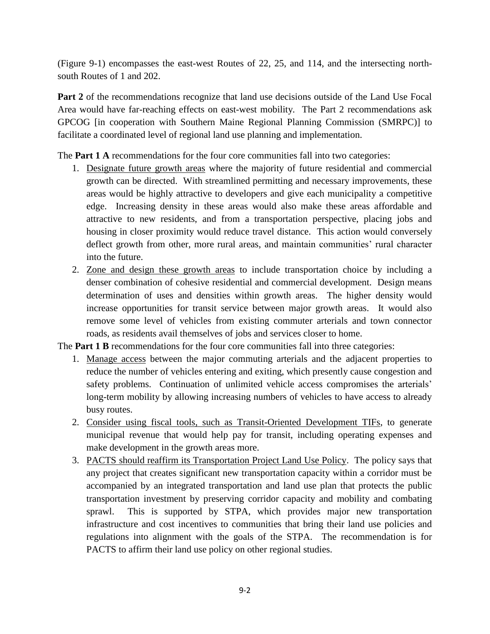(Figure 9-1) encompasses the east-west Routes of 22, 25, and 114, and the intersecting northsouth Routes of 1 and 202.

**Part 2** of the recommendations recognize that land use decisions outside of the Land Use Focal Area would have far-reaching effects on east-west mobility. The Part 2 recommendations ask GPCOG [in cooperation with Southern Maine Regional Planning Commission (SMRPC)] to facilitate a coordinated level of regional land use planning and implementation.

The **Part 1 A** recommendations for the four core communities fall into two categories:

- 1. Designate future growth areas where the majority of future residential and commercial growth can be directed. With streamlined permitting and necessary improvements, these areas would be highly attractive to developers and give each municipality a competitive edge. Increasing density in these areas would also make these areas affordable and attractive to new residents, and from a transportation perspective, placing jobs and housing in closer proximity would reduce travel distance. This action would conversely deflect growth from other, more rural areas, and maintain communities' rural character into the future.
- 2. Zone and design these growth areas to include transportation choice by including a denser combination of cohesive residential and commercial development. Design means determination of uses and densities within growth areas. The higher density would increase opportunities for transit service between major growth areas. It would also remove some level of vehicles from existing commuter arterials and town connector roads, as residents avail themselves of jobs and services closer to home.

The **Part 1 B** recommendations for the four core communities fall into three categories:

- 1. Manage access between the major commuting arterials and the adjacent properties to reduce the number of vehicles entering and exiting, which presently cause congestion and safety problems. Continuation of unlimited vehicle access compromises the arterials' long-term mobility by allowing increasing numbers of vehicles to have access to already busy routes.
- 2. Consider using fiscal tools, such as Transit-Oriented Development TIFs, to generate municipal revenue that would help pay for transit, including operating expenses and make development in the growth areas more.
- 3. PACTS should reaffirm its Transportation Project Land Use Policy. The policy says that any project that creates significant new transportation capacity within a corridor must be accompanied by an integrated transportation and land use plan that protects the public transportation investment by preserving corridor capacity and mobility and combating sprawl. This is supported by STPA, which provides major new transportation infrastructure and cost incentives to communities that bring their land use policies and regulations into alignment with the goals of the STPA. The recommendation is for PACTS to affirm their land use policy on other regional studies.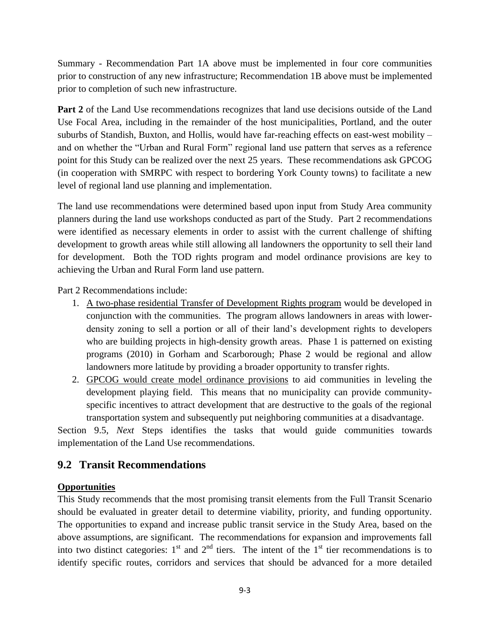Summary - Recommendation Part 1A above must be implemented in four core communities prior to construction of any new infrastructure; Recommendation 1B above must be implemented prior to completion of such new infrastructure.

**Part 2** of the Land Use recommendations recognizes that land use decisions outside of the Land Use Focal Area, including in the remainder of the host municipalities, Portland, and the outer suburbs of Standish, Buxton, and Hollis, would have far-reaching effects on east-west mobility – and on whether the "Urban and Rural Form" regional land use pattern that serves as a reference point for this Study can be realized over the next 25 years. These recommendations ask GPCOG (in cooperation with SMRPC with respect to bordering York County towns) to facilitate a new level of regional land use planning and implementation.

The land use recommendations were determined based upon input from Study Area community planners during the land use workshops conducted as part of the Study. Part 2 recommendations were identified as necessary elements in order to assist with the current challenge of shifting development to growth areas while still allowing all landowners the opportunity to sell their land for development. Both the TOD rights program and model ordinance provisions are key to achieving the Urban and Rural Form land use pattern.

Part 2 Recommendations include:

- 1. A two-phase residential Transfer of Development Rights program would be developed in conjunction with the communities. The program allows landowners in areas with lowerdensity zoning to sell a portion or all of their land's development rights to developers who are building projects in high-density growth areas. Phase 1 is patterned on existing programs (2010) in Gorham and Scarborough; Phase 2 would be regional and allow landowners more latitude by providing a broader opportunity to transfer rights.
- 2. GPCOG would create model ordinance provisions to aid communities in leveling the development playing field. This means that no municipality can provide communityspecific incentives to attract development that are destructive to the goals of the regional transportation system and subsequently put neighboring communities at a disadvantage.

Section 9.5, *Next* Steps identifies the tasks that would guide communities towards implementation of the Land Use recommendations.

# **9.2 Transit Recommendations**

#### **Opportunities**

This Study recommends that the most promising transit elements from the Full Transit Scenario should be evaluated in greater detail to determine viability, priority, and funding opportunity. The opportunities to expand and increase public transit service in the Study Area, based on the above assumptions, are significant. The recommendations for expansion and improvements fall into two distinct categories:  $1<sup>st</sup>$  and  $2<sup>nd</sup>$  tiers. The intent of the  $1<sup>st</sup>$  tier recommendations is to identify specific routes, corridors and services that should be advanced for a more detailed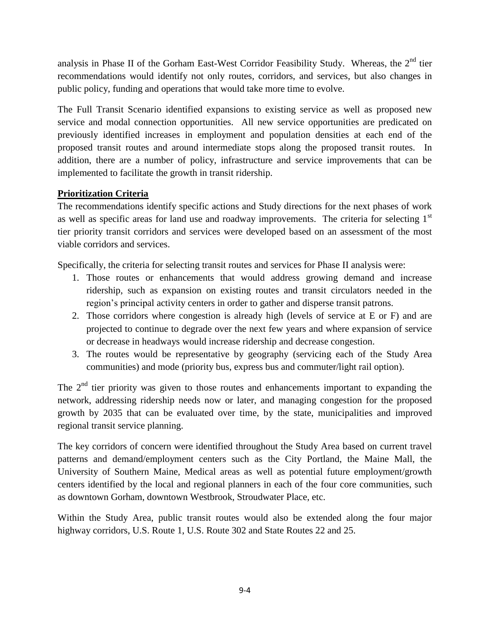analysis in Phase II of the Gorham East-West Corridor Feasibility Study. Whereas, the  $2<sup>nd</sup>$  tier recommendations would identify not only routes, corridors, and services, but also changes in public policy, funding and operations that would take more time to evolve.

The Full Transit Scenario identified expansions to existing service as well as proposed new service and modal connection opportunities. All new service opportunities are predicated on previously identified increases in employment and population densities at each end of the proposed transit routes and around intermediate stops along the proposed transit routes. In addition, there are a number of policy, infrastructure and service improvements that can be implemented to facilitate the growth in transit ridership.

# **Prioritization Criteria**

The recommendations identify specific actions and Study directions for the next phases of work as well as specific areas for land use and roadway improvements. The criteria for selecting 1<sup>st</sup> tier priority transit corridors and services were developed based on an assessment of the most viable corridors and services.

Specifically, the criteria for selecting transit routes and services for Phase II analysis were:

- 1. Those routes or enhancements that would address growing demand and increase ridership, such as expansion on existing routes and transit circulators needed in the region's principal activity centers in order to gather and disperse transit patrons.
- 2. Those corridors where congestion is already high (levels of service at E or F) and are projected to continue to degrade over the next few years and where expansion of service or decrease in headways would increase ridership and decrease congestion.
- 3. The routes would be representative by geography (servicing each of the Study Area communities) and mode (priority bus, express bus and commuter/light rail option).

The 2<sup>nd</sup> tier priority was given to those routes and enhancements important to expanding the network, addressing ridership needs now or later, and managing congestion for the proposed growth by 2035 that can be evaluated over time, by the state, municipalities and improved regional transit service planning.

The key corridors of concern were identified throughout the Study Area based on current travel patterns and demand/employment centers such as the City Portland, the Maine Mall, the University of Southern Maine, Medical areas as well as potential future employment/growth centers identified by the local and regional planners in each of the four core communities, such as downtown Gorham, downtown Westbrook, Stroudwater Place, etc.

Within the Study Area, public transit routes would also be extended along the four major highway corridors, U.S. Route 1, U.S. Route 302 and State Routes 22 and 25.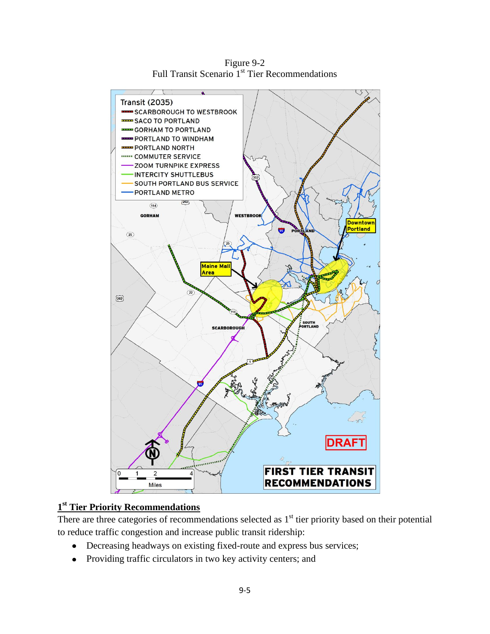

Figure 9-2 Full Transit Scenario 1<sup>st</sup> Tier Recommendations

### **1 st Tier Priority Recommendations**

There are three categories of recommendations selected as  $1<sup>st</sup>$  tier priority based on their potential to reduce traffic congestion and increase public transit ridership:

- Decreasing headways on existing fixed-route and express bus services;  $\bullet$
- Providing traffic circulators in two key activity centers; and $\bullet$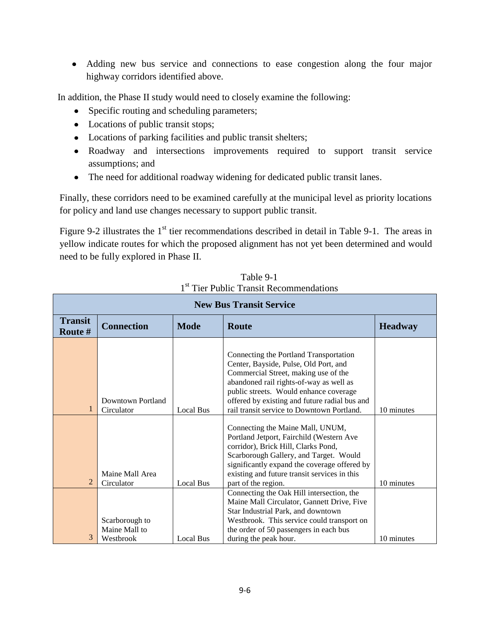Adding new bus service and connections to ease congestion along the four major highway corridors identified above.

In addition, the Phase II study would need to closely examine the following:

- Specific routing and scheduling parameters;
- Locations of public transit stops;
- Locations of parking facilities and public transit shelters;
- Roadway and intersections improvements required to support transit service assumptions; and
- The need for additional roadway widening for dedicated public transit lanes.

Finally, these corridors need to be examined carefully at the municipal level as priority locations for policy and land use changes necessary to support public transit.

Figure 9-2 illustrates the  $1<sup>st</sup>$  tier recommendations described in detail in Table 9-1. The areas in yellow indicate routes for which the proposed alignment has not yet been determined and would need to be fully explored in Phase II.

| <b>New Bus Transit Service</b> |                                              |                  |                                                                                                                                                                                                                                                                                                             |                |
|--------------------------------|----------------------------------------------|------------------|-------------------------------------------------------------------------------------------------------------------------------------------------------------------------------------------------------------------------------------------------------------------------------------------------------------|----------------|
| <b>Transit</b><br>Route #      | <b>Connection</b>                            | <b>Mode</b>      | Route                                                                                                                                                                                                                                                                                                       | <b>Headway</b> |
| $\mathbf{1}$                   | Downtown Portland<br>Circulator              | <b>Local Bus</b> | Connecting the Portland Transportation<br>Center, Bayside, Pulse, Old Port, and<br>Commercial Street, making use of the<br>abandoned rail rights-of-way as well as<br>public streets. Would enhance coverage<br>offered by existing and future radial bus and<br>rail transit service to Downtown Portland. | 10 minutes     |
| $\overline{2}$                 | Maine Mall Area<br>Circulator                | <b>Local Bus</b> | Connecting the Maine Mall, UNUM,<br>Portland Jetport, Fairchild (Western Ave<br>corridor), Brick Hill, Clarks Pond,<br>Scarborough Gallery, and Target. Would<br>significantly expand the coverage offered by<br>existing and future transit services in this<br>part of the region.                        | 10 minutes     |
| 3                              | Scarborough to<br>Maine Mall to<br>Westbrook | <b>Local Bus</b> | Connecting the Oak Hill intersection, the<br>Maine Mall Circulator, Gannett Drive, Five<br>Star Industrial Park, and downtown<br>Westbrook. This service could transport on<br>the order of 50 passengers in each bus<br>during the peak hour.                                                              | 10 minutes     |

Table 9-1 1<sup>st</sup> Tier Public Transit Recommendations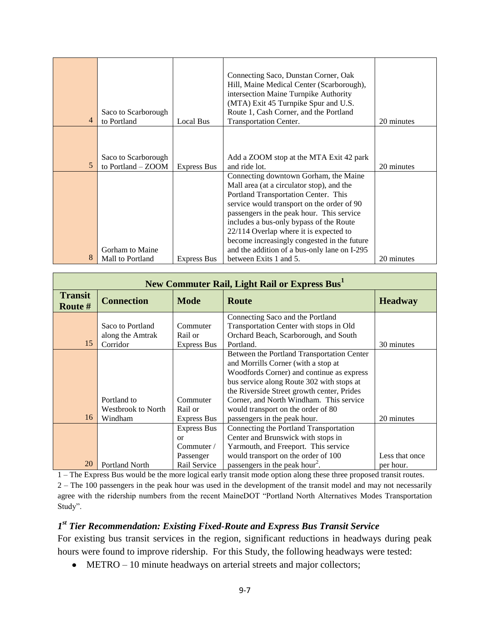| 4 | Saco to Scarborough<br>to Portland        | Local Bus          | Connecting Saco, Dunstan Corner, Oak<br>Hill, Maine Medical Center (Scarborough),<br>intersection Maine Turnpike Authority<br>(MTA) Exit 45 Turnpike Spur and U.S.<br>Route 1, Cash Corner, and the Portland<br>Transportation Center.                                                                                                                                                                    | 20 minutes |
|---|-------------------------------------------|--------------------|-----------------------------------------------------------------------------------------------------------------------------------------------------------------------------------------------------------------------------------------------------------------------------------------------------------------------------------------------------------------------------------------------------------|------------|
| 5 | Saco to Scarborough<br>to Portland - ZOOM | <b>Express Bus</b> | Add a ZOOM stop at the MTA Exit 42 park<br>and ride lot.                                                                                                                                                                                                                                                                                                                                                  | 20 minutes |
|   | Gorham to Maine                           |                    | Connecting downtown Gorham, the Maine<br>Mall area (at a circulator stop), and the<br>Portland Transportation Center. This<br>service would transport on the order of 90<br>passengers in the peak hour. This service<br>includes a bus-only bypass of the Route<br>22/114 Overlap where it is expected to<br>become increasingly congested in the future<br>and the addition of a bus-only lane on I-295 |            |
| 8 | Mall to Portland                          | <b>Express Bus</b> | between Exits 1 and 5.                                                                                                                                                                                                                                                                                                                                                                                    | 20 minutes |

| New Commuter Rail, Light Rail or Express Bus <sup>1</sup> |                                                                    |                     |                                            |                |
|-----------------------------------------------------------|--------------------------------------------------------------------|---------------------|--------------------------------------------|----------------|
| <b>Transit</b><br>Route #                                 | <b>Connection</b><br><b>Mode</b><br><b>Route</b><br><b>Headway</b> |                     |                                            |                |
|                                                           |                                                                    |                     | Connecting Saco and the Portland           |                |
|                                                           | Saco to Portland                                                   | Commuter            | Transportation Center with stops in Old    |                |
|                                                           | along the Amtrak                                                   | Rail or             | Orchard Beach, Scarborough, and South      |                |
| 15                                                        | Corridor                                                           | <b>Express Bus</b>  | Portland.                                  | 30 minutes     |
|                                                           |                                                                    |                     | Between the Portland Transportation Center |                |
|                                                           |                                                                    |                     | and Morrills Corner (with a stop at        |                |
|                                                           |                                                                    |                     | Woodfords Corner) and continue as express  |                |
|                                                           |                                                                    |                     | bus service along Route 302 with stops at  |                |
|                                                           |                                                                    |                     | the Riverside Street growth center, Prides |                |
|                                                           | Portland to                                                        | Commuter            | Corner, and North Windham. This service    |                |
|                                                           | <b>Westbrook to North</b>                                          | Rail or             | would transport on the order of 80         |                |
| 16                                                        | Windham                                                            | Express Bus         | passengers in the peak hour.               | 20 minutes     |
|                                                           |                                                                    | <b>Express Bus</b>  | Connecting the Portland Transportation     |                |
|                                                           |                                                                    | $\alpha$            | Center and Brunswick with stops in         |                |
|                                                           |                                                                    | Commuter $\sqrt{ }$ | Yarmouth, and Freeport. This service       |                |
|                                                           |                                                                    | Passenger           | would transport on the order of 100        | Less that once |
| 20                                                        | <b>Portland North</b>                                              | Rail Service        | passengers in the peak hour <sup>2</sup> . | per hour.      |

1 – The Express Bus would be the more logical early transit mode option along these three proposed transit routes. 2 – The 100 passengers in the peak hour was used in the development of the transit model and may not necessarily agree with the ridership numbers from the recent MaineDOT "Portland North Alternatives Modes Transportation Study".

### *1 st Tier Recommendation: Existing Fixed-Route and Express Bus Transit Service*

For existing bus transit services in the region, significant reductions in headways during peak hours were found to improve ridership. For this Study, the following headways were tested:

• METRO – 10 minute headways on arterial streets and major collectors;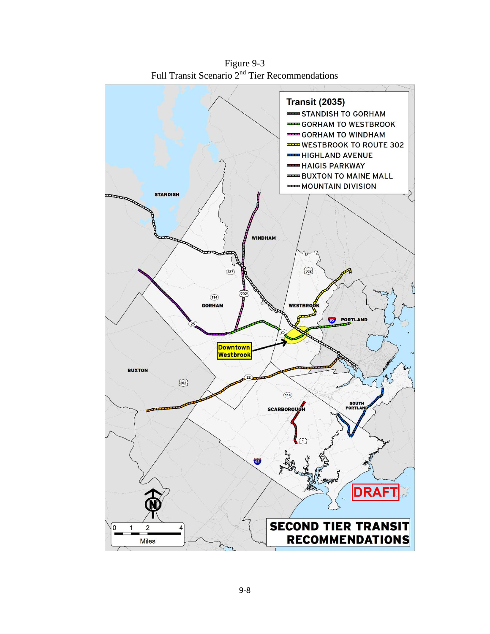

Figure 9-3 Full Transit Scenario 2<sup>nd</sup> Tier Recommendations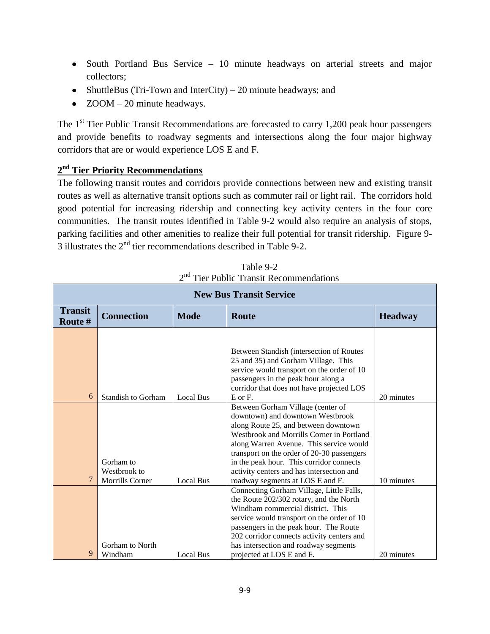- South Portland Bus Service 10 minute headways on arterial streets and major collectors;
- ShuttleBus (Tri-Town and InterCity) 20 minute headways; and
- ZOOM 20 minute headways.

The  $1<sup>st</sup>$  Tier Public Transit Recommendations are forecasted to carry 1,200 peak hour passengers and provide benefits to roadway segments and intersections along the four major highway corridors that are or would experience LOS E and F.

### **2 nd Tier Priority Recommendations**

The following transit routes and corridors provide connections between new and existing transit routes as well as alternative transit options such as commuter rail or light rail. The corridors hold good potential for increasing ridership and connecting key activity centers in the four core communities. The transit routes identified in Table 9-2 would also require an analysis of stops, parking facilities and other amenities to realize their full potential for transit ridership. Figure 9- 3 illustrates the 2nd tier recommendations described in Table 9-2.

| <b>New Bus Transit Service</b> |                                                             |                  |                                                                                                                                                                                                                                                                                                                                                                                  |            |  |  |  |
|--------------------------------|-------------------------------------------------------------|------------------|----------------------------------------------------------------------------------------------------------------------------------------------------------------------------------------------------------------------------------------------------------------------------------------------------------------------------------------------------------------------------------|------------|--|--|--|
| <b>Transit</b><br>Route #      | <b>Connection</b><br><b>Mode</b><br>Route<br><b>Headway</b> |                  |                                                                                                                                                                                                                                                                                                                                                                                  |            |  |  |  |
|                                |                                                             |                  |                                                                                                                                                                                                                                                                                                                                                                                  |            |  |  |  |
|                                |                                                             |                  | Between Standish (intersection of Routes)<br>25 and 35) and Gorham Village. This<br>service would transport on the order of 10<br>passengers in the peak hour along a                                                                                                                                                                                                            |            |  |  |  |
| 6                              | <b>Standish to Gorham</b>                                   | <b>Local Bus</b> | corridor that does not have projected LOS<br>E or F.                                                                                                                                                                                                                                                                                                                             | 20 minutes |  |  |  |
| 7                              | Gorham to<br>Westbrook to<br><b>Morrills Corner</b>         | <b>Local Bus</b> | Between Gorham Village (center of<br>downtown) and downtown Westbrook<br>along Route 25, and between downtown<br>Westbrook and Morrills Corner in Portland<br>along Warren Avenue. This service would<br>transport on the order of 20-30 passengers<br>in the peak hour. This corridor connects<br>activity centers and has intersection and<br>roadway segments at LOS E and F. | 10 minutes |  |  |  |
| 9                              | Gorham to North<br>Windham                                  | <b>Local Bus</b> | Connecting Gorham Village, Little Falls,<br>the Route 202/302 rotary, and the North<br>Windham commercial district. This<br>service would transport on the order of 10<br>passengers in the peak hour. The Route<br>202 corridor connects activity centers and<br>has intersection and roadway segments<br>projected at LOS E and F.                                             | 20 minutes |  |  |  |

Table 9-2 2<sup>nd</sup> Tier Public Transit Recommendations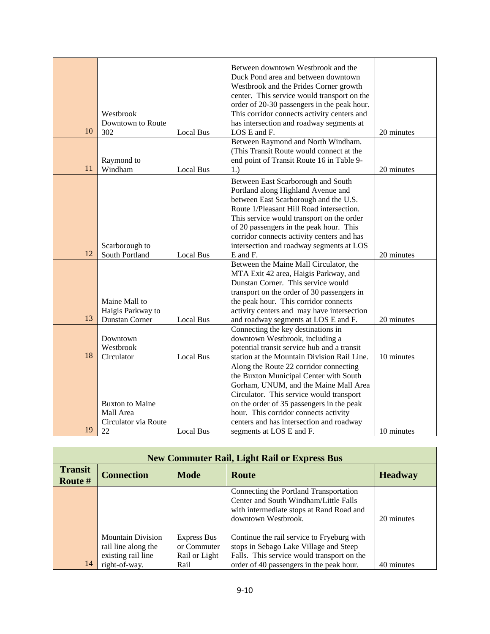| 10 | Westbrook<br>Downtown to Route<br>302                             | Local Bus        | Between downtown Westbrook and the<br>Duck Pond area and between downtown<br>Westbrook and the Prides Corner growth<br>center. This service would transport on the<br>order of 20-30 passengers in the peak hour.<br>This corridor connects activity centers and<br>has intersection and roadway segments at<br>LOS E and F.                                | 20 minutes |
|----|-------------------------------------------------------------------|------------------|-------------------------------------------------------------------------------------------------------------------------------------------------------------------------------------------------------------------------------------------------------------------------------------------------------------------------------------------------------------|------------|
| 11 | Raymond to<br>Windham                                             | <b>Local Bus</b> | Between Raymond and North Windham.<br>(This Transit Route would connect at the<br>end point of Transit Route 16 in Table 9-<br>1.)                                                                                                                                                                                                                          | 20 minutes |
| 12 | Scarborough to<br>South Portland                                  | <b>Local Bus</b> | Between East Scarborough and South<br>Portland along Highland Avenue and<br>between East Scarborough and the U.S.<br>Route 1/Pleasant Hill Road intersection.<br>This service would transport on the order<br>of 20 passengers in the peak hour. This<br>corridor connects activity centers and has<br>intersection and roadway segments at LOS<br>E and F. | 20 minutes |
| 13 | Maine Mall to<br>Haigis Parkway to<br><b>Dunstan Corner</b>       | Local Bus        | Between the Maine Mall Circulator, the<br>MTA Exit 42 area, Haigis Parkway, and<br>Dunstan Corner. This service would<br>transport on the order of 30 passengers in<br>the peak hour. This corridor connects<br>activity centers and may have intersection<br>and roadway segments at LOS E and F.                                                          | 20 minutes |
| 18 | Downtown<br>Westbrook<br>Circulator                               | <b>Local Bus</b> | Connecting the key destinations in<br>downtown Westbrook, including a<br>potential transit service hub and a transit<br>station at the Mountain Division Rail Line.                                                                                                                                                                                         | 10 minutes |
| 19 | <b>Buxton to Maine</b><br>Mall Area<br>Circulator via Route<br>22 | Local Bus        | Along the Route 22 corridor connecting<br>the Buxton Municipal Center with South<br>Gorham, UNUM, and the Maine Mall Area<br>Circulator. This service would transport<br>on the order of 35 passengers in the peak<br>hour. This corridor connects activity<br>centers and has intersection and roadway<br>segments at LOS E and F.                         | 10 minutes |

| <b>New Commuter Rail, Light Rail or Express Bus</b> |                                                                       |                                             |                                                                                                                                                    |            |  |  |
|-----------------------------------------------------|-----------------------------------------------------------------------|---------------------------------------------|----------------------------------------------------------------------------------------------------------------------------------------------------|------------|--|--|
| <b>Transit</b><br>Route #                           | <b>Mode</b><br><b>Connection</b><br><b>Route</b>                      |                                             |                                                                                                                                                    |            |  |  |
|                                                     |                                                                       |                                             | Connecting the Portland Transportation<br>Center and South Windham/Little Falls<br>with intermediate stops at Rand Road and<br>downtown Westbrook. | 20 minutes |  |  |
|                                                     | <b>Mountain Division</b><br>rail line along the<br>existing rail line | Express Bus<br>or Commuter<br>Rail or Light | Continue the rail service to Fryeburg with<br>stops in Sebago Lake Village and Steep<br>Falls. This service would transport on the                 |            |  |  |
| 14                                                  | right-of-way.                                                         | Rail                                        | order of 40 passengers in the peak hour.                                                                                                           | 40 minutes |  |  |

r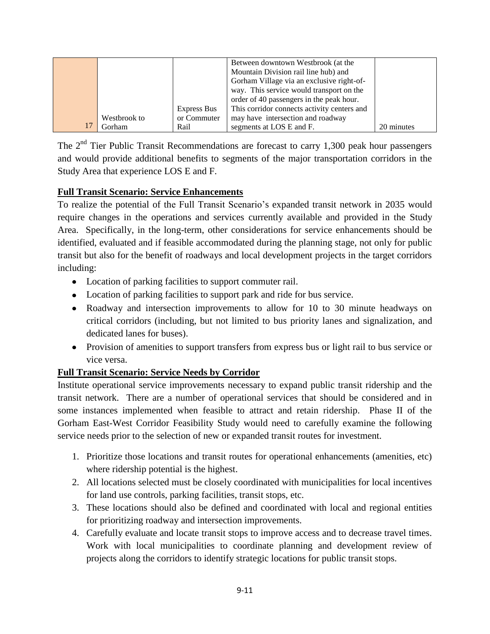|              |             | Between downtown Westbrook (at the          |            |
|--------------|-------------|---------------------------------------------|------------|
|              |             | Mountain Division rail line hub) and        |            |
|              |             | Gorham Village via an exclusive right-of-   |            |
|              |             | way. This service would transport on the    |            |
|              |             | order of 40 passengers in the peak hour.    |            |
|              | Express Bus | This corridor connects activity centers and |            |
| Westbrook to | or Commuter | may have intersection and roadway           |            |
| Gorham       | Rail        | segments at LOS E and F.                    | 20 minutes |

The  $2<sup>nd</sup>$  Tier Public Transit Recommendations are forecast to carry 1,300 peak hour passengers and would provide additional benefits to segments of the major transportation corridors in the Study Area that experience LOS E and F.

### **Full Transit Scenario: Service Enhancements**

To realize the potential of the Full Transit Scenario's expanded transit network in 2035 would require changes in the operations and services currently available and provided in the Study Area. Specifically, in the long-term, other considerations for service enhancements should be identified, evaluated and if feasible accommodated during the planning stage, not only for public transit but also for the benefit of roadways and local development projects in the target corridors including:

- Location of parking facilities to support commuter rail.
- Location of parking facilities to support park and ride for bus service.
- Roadway and intersection improvements to allow for 10 to 30 minute headways on critical corridors (including, but not limited to bus priority lanes and signalization, and dedicated lanes for buses).
- Provision of amenities to support transfers from express bus or light rail to bus service or vice versa.

### **Full Transit Scenario: Service Needs by Corridor**

Institute operational service improvements necessary to expand public transit ridership and the transit network. There are a number of operational services that should be considered and in some instances implemented when feasible to attract and retain ridership. Phase II of the Gorham East-West Corridor Feasibility Study would need to carefully examine the following service needs prior to the selection of new or expanded transit routes for investment.

- 1. Prioritize those locations and transit routes for operational enhancements (amenities, etc) where ridership potential is the highest.
- 2. All locations selected must be closely coordinated with municipalities for local incentives for land use controls, parking facilities, transit stops, etc.
- 3. These locations should also be defined and coordinated with local and regional entities for prioritizing roadway and intersection improvements.
- 4. Carefully evaluate and locate transit stops to improve access and to decrease travel times. Work with local municipalities to coordinate planning and development review of projects along the corridors to identify strategic locations for public transit stops.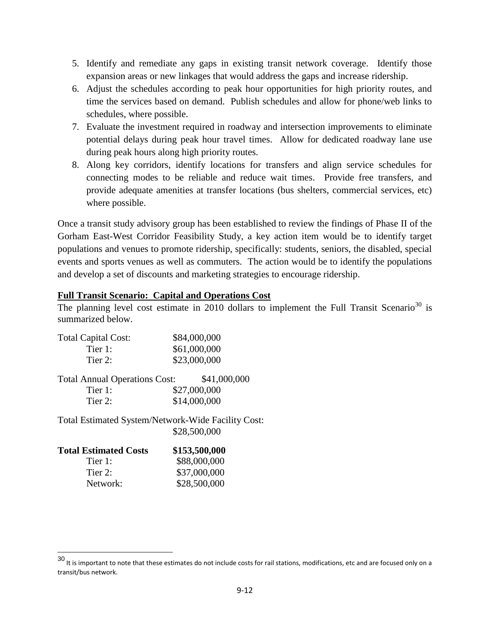- 5. Identify and remediate any gaps in existing transit network coverage. Identify those expansion areas or new linkages that would address the gaps and increase ridership.
- 6. Adjust the schedules according to peak hour opportunities for high priority routes, and time the services based on demand. Publish schedules and allow for phone/web links to schedules, where possible.
- 7. Evaluate the investment required in roadway and intersection improvements to eliminate potential delays during peak hour travel times. Allow for dedicated roadway lane use during peak hours along high priority routes.
- 8. Along key corridors, identify locations for transfers and align service schedules for connecting modes to be reliable and reduce wait times. Provide free transfers, and provide adequate amenities at transfer locations (bus shelters, commercial services, etc) where possible.

Once a transit study advisory group has been established to review the findings of Phase II of the Gorham East-West Corridor Feasibility Study, a key action item would be to identify target populations and venues to promote ridership, specifically: students, seniors, the disabled, special events and sports venues as well as commuters. The action would be to identify the populations and develop a set of discounts and marketing strategies to encourage ridership.

#### **Full Transit Scenario: Capital and Operations Cost**

The planning level cost estimate in 2010 dollars to implement the Full Transit Scenario<sup>30</sup> is summarized below.

| \$84,000,000 |
|--------------|
| \$61,000,000 |
| \$23,000,000 |
|              |

| <b>Total Annual Operations Cost:</b> | \$41,000,000 |  |
|--------------------------------------|--------------|--|
| Tier 1:                              | \$27,000,000 |  |
| Tier 2:                              | \$14,000,000 |  |

Total Estimated System/Network-Wide Facility Cost: \$28,500,000

| <b>Total Estimated Costs</b> | \$153,500,000 |
|------------------------------|---------------|
| Tier 1:                      | \$88,000,000  |
| Tier 2:                      | \$37,000,000  |
| Network:                     | \$28,500,000  |

l

 $^{30}$  It is important to note that these estimates do not include costs for rail stations, modifications, etc and are focused only on a transit/bus network.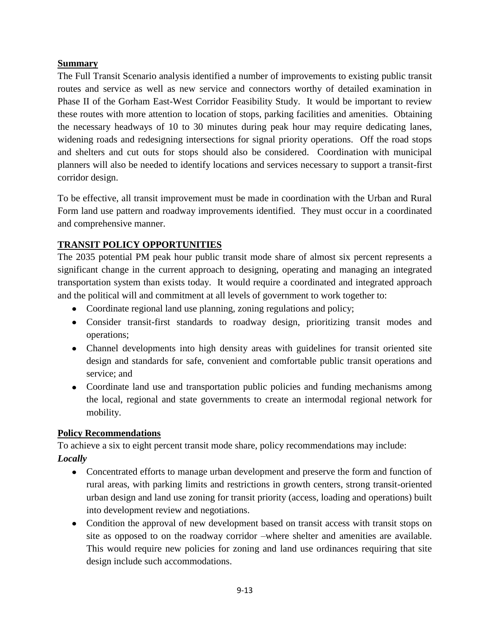### **Summary**

The Full Transit Scenario analysis identified a number of improvements to existing public transit routes and service as well as new service and connectors worthy of detailed examination in Phase II of the Gorham East-West Corridor Feasibility Study. It would be important to review these routes with more attention to location of stops, parking facilities and amenities. Obtaining the necessary headways of 10 to 30 minutes during peak hour may require dedicating lanes, widening roads and redesigning intersections for signal priority operations. Off the road stops and shelters and cut outs for stops should also be considered. Coordination with municipal planners will also be needed to identify locations and services necessary to support a transit-first corridor design.

To be effective, all transit improvement must be made in coordination with the Urban and Rural Form land use pattern and roadway improvements identified. They must occur in a coordinated and comprehensive manner.

# **TRANSIT POLICY OPPORTUNITIES**

The 2035 potential PM peak hour public transit mode share of almost six percent represents a significant change in the current approach to designing, operating and managing an integrated transportation system than exists today. It would require a coordinated and integrated approach and the political will and commitment at all levels of government to work together to:

- Coordinate regional land use planning, zoning regulations and policy;
- Consider transit-first standards to roadway design, prioritizing transit modes and operations;
- Channel developments into high density areas with guidelines for transit oriented site design and standards for safe, convenient and comfortable public transit operations and service; and
- Coordinate land use and transportation public policies and funding mechanisms among the local, regional and state governments to create an intermodal regional network for mobility.

### **Policy Recommendations**

To achieve a six to eight percent transit mode share, policy recommendations may include: *Locally*

- Concentrated efforts to manage urban development and preserve the form and function of rural areas, with parking limits and restrictions in growth centers, strong transit-oriented urban design and land use zoning for transit priority (access, loading and operations) built into development review and negotiations.
- Condition the approval of new development based on transit access with transit stops on site as opposed to on the roadway corridor –where shelter and amenities are available. This would require new policies for zoning and land use ordinances requiring that site design include such accommodations.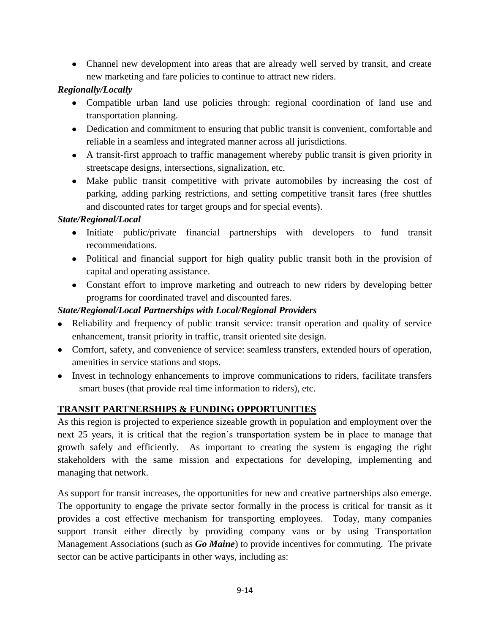Channel new development into areas that are already well served by transit, and create new marketing and fare policies to continue to attract new riders.

## *Regionally/Locally*

- Compatible urban land use policies through: regional coordination of land use and transportation planning.
- Dedication and commitment to ensuring that public transit is convenient, comfortable and reliable in a seamless and integrated manner across all jurisdictions.
- A transit-first approach to traffic management whereby public transit is given priority in streetscape designs, intersections, signalization, etc.
- Make public transit competitive with private automobiles by increasing the cost of parking, adding parking restrictions, and setting competitive transit fares (free shuttles and discounted rates for target groups and for special events).

# *State/Regional/Local*

- Initiate public/private financial partnerships with developers to fund transit recommendations.
- Political and financial support for high quality public transit both in the provision of capital and operating assistance.
- Constant effort to improve marketing and outreach to new riders by developing better programs for coordinated travel and discounted fares.

# *State/Regional/Local Partnerships with Local/Regional Providers*

- Reliability and frequency of public transit service: transit operation and quality of service enhancement, transit priority in traffic, transit oriented site design.
- Comfort, safety, and convenience of service: seamless transfers, extended hours of operation, amenities in service stations and stops.
- Invest in technology enhancements to improve communications to riders, facilitate transfers – smart buses (that provide real time information to riders), etc.

# **TRANSIT PARTNERSHIPS & FUNDING OPPORTUNITIES**

As this region is projected to experience sizeable growth in population and employment over the next 25 years, it is critical that the region's transportation system be in place to manage that growth safely and efficiently. As important to creating the system is engaging the right stakeholders with the same mission and expectations for developing, implementing and managing that network.

As support for transit increases, the opportunities for new and creative partnerships also emerge. The opportunity to engage the private sector formally in the process is critical for transit as it provides a cost effective mechanism for transporting employees. Today, many companies support transit either directly by providing company vans or by using Transportation Management Associations (such as *Go Maine*) to provide incentives for commuting. The private sector can be active participants in other ways, including as: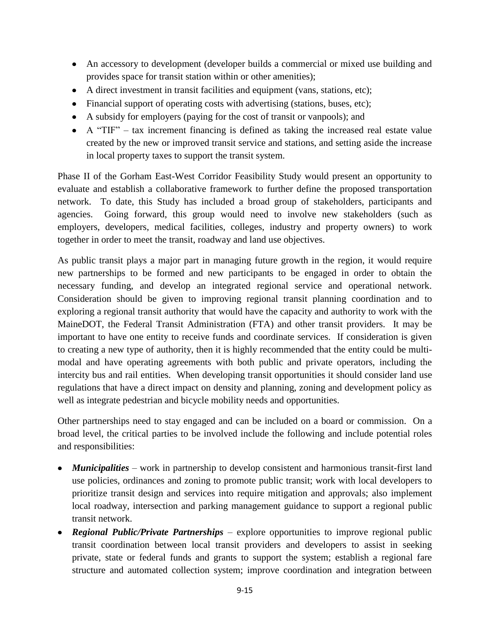- An accessory to development (developer builds a commercial or mixed use building and provides space for transit station within or other amenities);
- A direct investment in transit facilities and equipment (vans, stations, etc);
- Financial support of operating costs with advertising (stations, buses, etc);
- A subsidy for employers (paying for the cost of transit or vanpools); and
- $\bullet$  A "TIF" tax increment financing is defined as taking the increased real estate value created by the new or improved transit service and stations, and setting aside the increase in local property taxes to support the transit system.

Phase II of the Gorham East-West Corridor Feasibility Study would present an opportunity to evaluate and establish a collaborative framework to further define the proposed transportation network. To date, this Study has included a broad group of stakeholders, participants and agencies. Going forward, this group would need to involve new stakeholders (such as employers, developers, medical facilities, colleges, industry and property owners) to work together in order to meet the transit, roadway and land use objectives.

As public transit plays a major part in managing future growth in the region, it would require new partnerships to be formed and new participants to be engaged in order to obtain the necessary funding, and develop an integrated regional service and operational network. Consideration should be given to improving regional transit planning coordination and to exploring a regional transit authority that would have the capacity and authority to work with the MaineDOT, the Federal Transit Administration (FTA) and other transit providers. It may be important to have one entity to receive funds and coordinate services. If consideration is given to creating a new type of authority, then it is highly recommended that the entity could be multimodal and have operating agreements with both public and private operators, including the intercity bus and rail entities. When developing transit opportunities it should consider land use regulations that have a direct impact on density and planning, zoning and development policy as well as integrate pedestrian and bicycle mobility needs and opportunities.

Other partnerships need to stay engaged and can be included on a board or commission. On a broad level, the critical parties to be involved include the following and include potential roles and responsibilities:

- *Municipalities*  work in partnership to develop consistent and harmonious transit-first land use policies, ordinances and zoning to promote public transit; work with local developers to prioritize transit design and services into require mitigation and approvals; also implement local roadway, intersection and parking management guidance to support a regional public transit network.
- *Regional Public/Private Partnerships* explore opportunities to improve regional public transit coordination between local transit providers and developers to assist in seeking private, state or federal funds and grants to support the system; establish a regional fare structure and automated collection system; improve coordination and integration between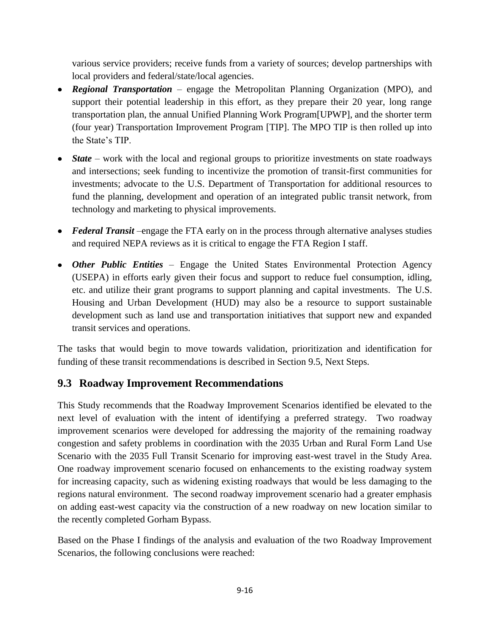various service providers; receive funds from a variety of sources; develop partnerships with local providers and federal/state/local agencies.

- *Regional Transportation*  engage the Metropolitan Planning Organization (MPO), and support their potential leadership in this effort, as they prepare their 20 year, long range transportation plan, the annual Unified Planning Work Program[UPWP], and the shorter term (four year) Transportation Improvement Program [TIP]. The MPO TIP is then rolled up into the State's TIP.
- *State* work with the local and regional groups to prioritize investments on state roadways and intersections; seek funding to incentivize the promotion of transit-first communities for investments; advocate to the U.S. Department of Transportation for additional resources to fund the planning, development and operation of an integrated public transit network, from technology and marketing to physical improvements.
- *Federal Transit* –engage the FTA early on in the process through alternative analyses studies and required NEPA reviews as it is critical to engage the FTA Region I staff.
- *Other Public Entities*  Engage the United States Environmental Protection Agency (USEPA) in efforts early given their focus and support to reduce fuel consumption, idling, etc. and utilize their grant programs to support planning and capital investments. The U.S. Housing and Urban Development (HUD) may also be a resource to support sustainable development such as land use and transportation initiatives that support new and expanded transit services and operations.

The tasks that would begin to move towards validation, prioritization and identification for funding of these transit recommendations is described in Section 9.5, Next Steps.

# **9.3 Roadway Improvement Recommendations**

This Study recommends that the Roadway Improvement Scenarios identified be elevated to the next level of evaluation with the intent of identifying a preferred strategy. Two roadway improvement scenarios were developed for addressing the majority of the remaining roadway congestion and safety problems in coordination with the 2035 Urban and Rural Form Land Use Scenario with the 2035 Full Transit Scenario for improving east-west travel in the Study Area. One roadway improvement scenario focused on enhancements to the existing roadway system for increasing capacity, such as widening existing roadways that would be less damaging to the regions natural environment. The second roadway improvement scenario had a greater emphasis on adding east-west capacity via the construction of a new roadway on new location similar to the recently completed Gorham Bypass.

Based on the Phase I findings of the analysis and evaluation of the two Roadway Improvement Scenarios, the following conclusions were reached: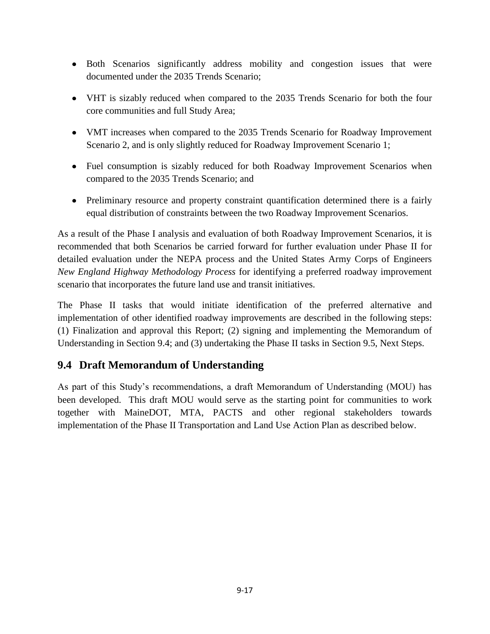- Both Scenarios significantly address mobility and congestion issues that were documented under the 2035 Trends Scenario;
- VHT is sizably reduced when compared to the 2035 Trends Scenario for both the four core communities and full Study Area;
- VMT increases when compared to the 2035 Trends Scenario for Roadway Improvement Scenario 2, and is only slightly reduced for Roadway Improvement Scenario 1;
- Fuel consumption is sizably reduced for both Roadway Improvement Scenarios when compared to the 2035 Trends Scenario; and
- Preliminary resource and property constraint quantification determined there is a fairly equal distribution of constraints between the two Roadway Improvement Scenarios.

As a result of the Phase I analysis and evaluation of both Roadway Improvement Scenarios, it is recommended that both Scenarios be carried forward for further evaluation under Phase II for detailed evaluation under the NEPA process and the United States Army Corps of Engineers *New England Highway Methodology Process* for identifying a preferred roadway improvement scenario that incorporates the future land use and transit initiatives.

The Phase II tasks that would initiate identification of the preferred alternative and implementation of other identified roadway improvements are described in the following steps: (1) Finalization and approval this Report; (2) signing and implementing the Memorandum of Understanding in Section 9.4; and (3) undertaking the Phase II tasks in Section 9.5, Next Steps.

# **9.4 Draft Memorandum of Understanding**

As part of this Study's recommendations, a draft Memorandum of Understanding (MOU) has been developed. This draft MOU would serve as the starting point for communities to work together with MaineDOT, MTA, PACTS and other regional stakeholders towards implementation of the Phase II Transportation and Land Use Action Plan as described below.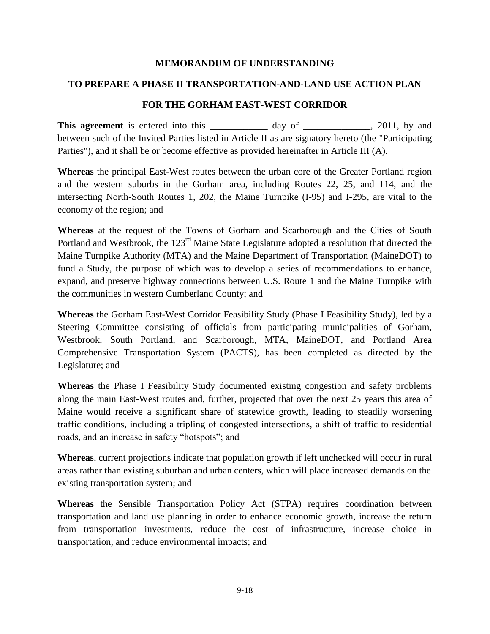#### **MEMORANDUM OF UNDERSTANDING**

#### **TO PREPARE A PHASE II TRANSPORTATION-AND-LAND USE ACTION PLAN**

#### **FOR THE GORHAM EAST-WEST CORRIDOR**

**This agreement** is entered into this day of the agreement is entered into this day of the set of  $\frac{2011}{1000}$ ,  $\frac{2011}{1000}$ ,  $\frac{2011}{1000}$ between such of the Invited Parties listed in Article II as are signatory hereto (the "Participating Parties"), and it shall be or become effective as provided hereinafter in Article III (A).

**Whereas** the principal East-West routes between the urban core of the Greater Portland region and the western suburbs in the Gorham area, including Routes 22, 25, and 114, and the intersecting North-South Routes 1, 202, the Maine Turnpike (I-95) and I-295, are vital to the economy of the region; and

**Whereas** at the request of the Towns of Gorham and Scarborough and the Cities of South Portland and Westbrook, the 123<sup>rd</sup> Maine State Legislature adopted a resolution that directed the Maine Turnpike Authority (MTA) and the Maine Department of Transportation (MaineDOT) to fund a Study, the purpose of which was to develop a series of recommendations to enhance, expand, and preserve highway connections between U.S. Route 1 and the Maine Turnpike with the communities in western Cumberland County; and

**Whereas** the Gorham East-West Corridor Feasibility Study (Phase I Feasibility Study), led by a Steering Committee consisting of officials from participating municipalities of Gorham, Westbrook, South Portland, and Scarborough, MTA, MaineDOT, and Portland Area Comprehensive Transportation System (PACTS), has been completed as directed by the Legislature; and

**Whereas** the Phase I Feasibility Study documented existing congestion and safety problems along the main East-West routes and, further, projected that over the next 25 years this area of Maine would receive a significant share of statewide growth, leading to steadily worsening traffic conditions, including a tripling of congested intersections, a shift of traffic to residential roads, and an increase in safety "hotspots"; and

**Whereas**, current projections indicate that population growth if left unchecked will occur in rural areas rather than existing suburban and urban centers, which will place increased demands on the existing transportation system; and

**Whereas** the Sensible Transportation Policy Act (STPA) requires coordination between transportation and land use planning in order to enhance economic growth, increase the return from transportation investments, reduce the cost of infrastructure, increase choice in transportation, and reduce environmental impacts; and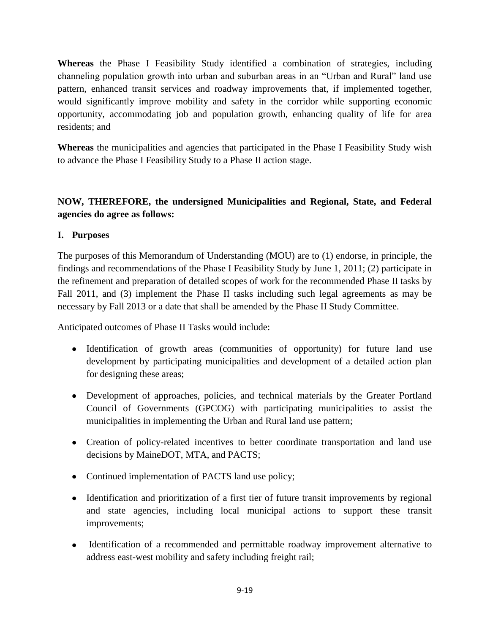**Whereas** the Phase I Feasibility Study identified a combination of strategies, including channeling population growth into urban and suburban areas in an "Urban and Rural" land use pattern, enhanced transit services and roadway improvements that, if implemented together, would significantly improve mobility and safety in the corridor while supporting economic opportunity, accommodating job and population growth, enhancing quality of life for area residents; and

**Whereas** the municipalities and agencies that participated in the Phase I Feasibility Study wish to advance the Phase I Feasibility Study to a Phase II action stage.

## **NOW, THEREFORE, the undersigned Municipalities and Regional, State, and Federal agencies do agree as follows:**

#### **I. Purposes**

The purposes of this Memorandum of Understanding (MOU) are to (1) endorse, in principle, the findings and recommendations of the Phase I Feasibility Study by June 1, 2011; (2) participate in the refinement and preparation of detailed scopes of work for the recommended Phase II tasks by Fall 2011, and (3) implement the Phase II tasks including such legal agreements as may be necessary by Fall 2013 or a date that shall be amended by the Phase II Study Committee.

Anticipated outcomes of Phase II Tasks would include:

- Identification of growth areas (communities of opportunity) for future land use development by participating municipalities and development of a detailed action plan for designing these areas;
- Development of approaches, policies, and technical materials by the Greater Portland Council of Governments (GPCOG) with participating municipalities to assist the municipalities in implementing the Urban and Rural land use pattern;
- Creation of policy-related incentives to better coordinate transportation and land use decisions by MaineDOT, MTA, and PACTS;
- Continued implementation of PACTS land use policy;
- Identification and prioritization of a first tier of future transit improvements by regional and state agencies, including local municipal actions to support these transit improvements;
- Identification of a recommended and permittable roadway improvement alternative to address east-west mobility and safety including freight rail;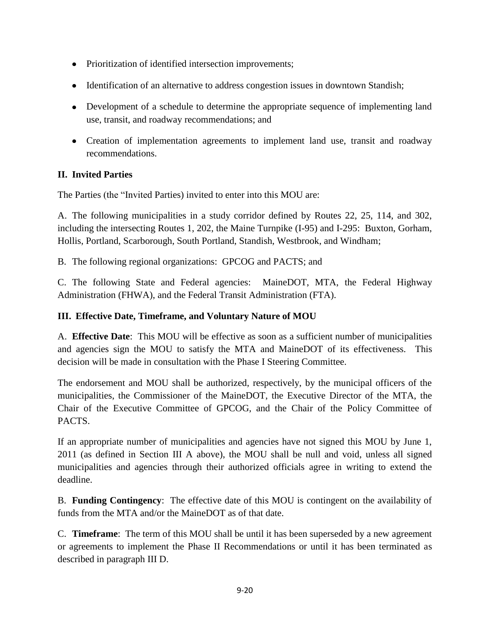- Prioritization of identified intersection improvements;
- Identification of an alternative to address congestion issues in downtown Standish;
- Development of a schedule to determine the appropriate sequence of implementing land use, transit, and roadway recommendations; and
- Creation of implementation agreements to implement land use, transit and roadway recommendations.

# **II. Invited Parties**

The Parties (the "Invited Parties) invited to enter into this MOU are:

A. The following municipalities in a study corridor defined by Routes 22, 25, 114, and 302, including the intersecting Routes 1, 202, the Maine Turnpike (I-95) and I-295: Buxton, Gorham, Hollis, Portland, Scarborough, South Portland, Standish, Westbrook, and Windham;

B. The following regional organizations: GPCOG and PACTS; and

C. The following State and Federal agencies: MaineDOT, MTA, the Federal Highway Administration (FHWA), and the Federal Transit Administration (FTA).

# **III. Effective Date, Timeframe, and Voluntary Nature of MOU**

A. **Effective Date**: This MOU will be effective as soon as a sufficient number of municipalities and agencies sign the MOU to satisfy the MTA and MaineDOT of its effectiveness. This decision will be made in consultation with the Phase I Steering Committee.

The endorsement and MOU shall be authorized, respectively, by the municipal officers of the municipalities, the Commissioner of the MaineDOT, the Executive Director of the MTA, the Chair of the Executive Committee of GPCOG, and the Chair of the Policy Committee of PACTS.

If an appropriate number of municipalities and agencies have not signed this MOU by June 1, 2011 (as defined in Section III A above), the MOU shall be null and void, unless all signed municipalities and agencies through their authorized officials agree in writing to extend the deadline.

B. **Funding Contingency**: The effective date of this MOU is contingent on the availability of funds from the MTA and/or the MaineDOT as of that date.

C. **Timeframe**: The term of this MOU shall be until it has been superseded by a new agreement or agreements to implement the Phase II Recommendations or until it has been terminated as described in paragraph III D.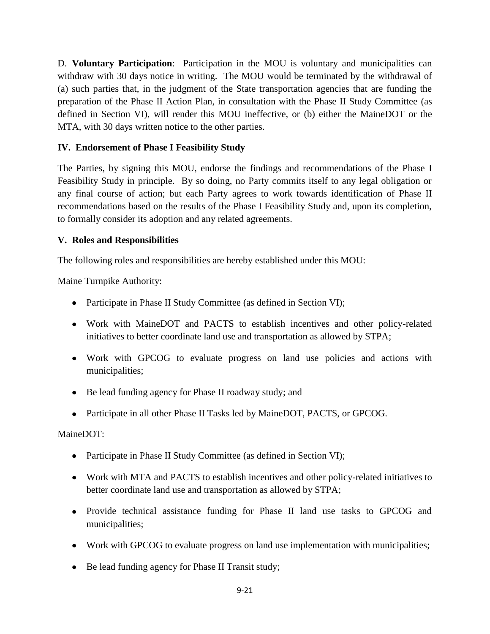D. **Voluntary Participation**: Participation in the MOU is voluntary and municipalities can withdraw with 30 days notice in writing. The MOU would be terminated by the withdrawal of (a) such parties that, in the judgment of the State transportation agencies that are funding the preparation of the Phase II Action Plan, in consultation with the Phase II Study Committee (as defined in Section VI), will render this MOU ineffective, or (b) either the MaineDOT or the MTA, with 30 days written notice to the other parties.

### **IV. Endorsement of Phase I Feasibility Study**

The Parties, by signing this MOU, endorse the findings and recommendations of the Phase I Feasibility Study in principle. By so doing, no Party commits itself to any legal obligation or any final course of action; but each Party agrees to work towards identification of Phase II recommendations based on the results of the Phase I Feasibility Study and, upon its completion, to formally consider its adoption and any related agreements.

### **V. Roles and Responsibilities**

The following roles and responsibilities are hereby established under this MOU:

Maine Turnpike Authority:

- Participate in Phase II Study Committee (as defined in Section VI);
- Work with MaineDOT and PACTS to establish incentives and other policy-related initiatives to better coordinate land use and transportation as allowed by STPA;
- Work with GPCOG to evaluate progress on land use policies and actions with municipalities;
- Be lead funding agency for Phase II roadway study; and
- Participate in all other Phase II Tasks led by MaineDOT, PACTS, or GPCOG.

MaineDOT:

- Participate in Phase II Study Committee (as defined in Section VI);
- Work with MTA and PACTS to establish incentives and other policy-related initiatives to better coordinate land use and transportation as allowed by STPA;
- Provide technical assistance funding for Phase II land use tasks to GPCOG and municipalities;
- Work with GPCOG to evaluate progress on land use implementation with municipalities;
- Be lead funding agency for Phase II Transit study;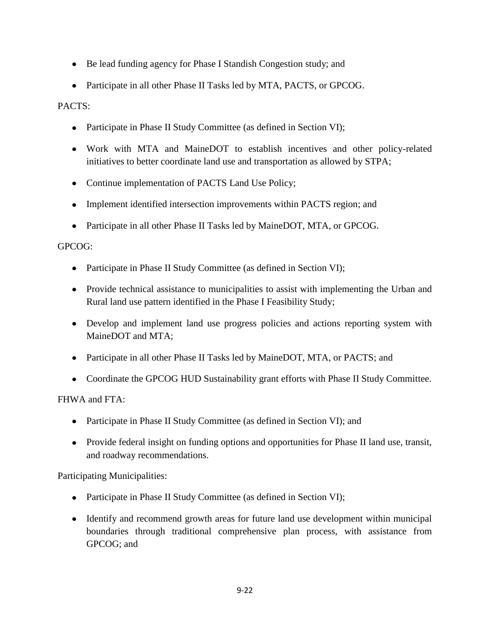- Be lead funding agency for Phase I Standish Congestion study; and
- Participate in all other Phase II Tasks led by MTA, PACTS, or GPCOG.

#### PACTS:

- Participate in Phase II Study Committee (as defined in Section VI);
- Work with MTA and MaineDOT to establish incentives and other policy-related initiatives to better coordinate land use and transportation as allowed by STPA;
- Continue implementation of PACTS Land Use Policy;
- Implement identified intersection improvements within PACTS region; and
- Participate in all other Phase II Tasks led by MaineDOT, MTA, or GPCOG.

#### GPCOG:

- Participate in Phase II Study Committee (as defined in Section VI);
- Provide technical assistance to municipalities to assist with implementing the Urban and Rural land use pattern identified in the Phase I Feasibility Study;
- Develop and implement land use progress policies and actions reporting system with MaineDOT and MTA;
- Participate in all other Phase II Tasks led by MaineDOT, MTA, or PACTS; and
- Coordinate the GPCOG HUD Sustainability grant efforts with Phase II Study Committee.

#### FHWA and FTA:

- Participate in Phase II Study Committee (as defined in Section VI); and  $\bullet$
- Provide federal insight on funding options and opportunities for Phase II land use, transit, and roadway recommendations.

Participating Municipalities:

- Participate in Phase II Study Committee (as defined in Section VI);
- Identify and recommend growth areas for future land use development within municipal boundaries through traditional comprehensive plan process, with assistance from GPCOG; and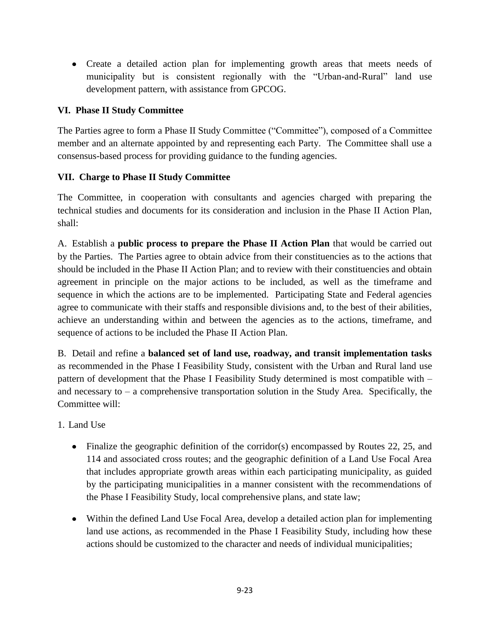Create a detailed action plan for implementing growth areas that meets needs of municipality but is consistent regionally with the "Urban-and-Rural" land use development pattern, with assistance from GPCOG.

### **VI. Phase II Study Committee**

The Parties agree to form a Phase II Study Committee ("Committee"), composed of a Committee member and an alternate appointed by and representing each Party. The Committee shall use a consensus-based process for providing guidance to the funding agencies.

#### **VII. Charge to Phase II Study Committee**

The Committee, in cooperation with consultants and agencies charged with preparing the technical studies and documents for its consideration and inclusion in the Phase II Action Plan, shall:

A. Establish a **public process to prepare the Phase II Action Plan** that would be carried out by the Parties. The Parties agree to obtain advice from their constituencies as to the actions that should be included in the Phase II Action Plan; and to review with their constituencies and obtain agreement in principle on the major actions to be included, as well as the timeframe and sequence in which the actions are to be implemented. Participating State and Federal agencies agree to communicate with their staffs and responsible divisions and, to the best of their abilities, achieve an understanding within and between the agencies as to the actions, timeframe, and sequence of actions to be included the Phase II Action Plan.

B. Detail and refine a **balanced set of land use, roadway, and transit implementation tasks** as recommended in the Phase I Feasibility Study, consistent with the Urban and Rural land use pattern of development that the Phase I Feasibility Study determined is most compatible with – and necessary to  $-$  a comprehensive transportation solution in the Study Area. Specifically, the Committee will:

1. Land Use

- Finalize the geographic definition of the corridor(s) encompassed by Routes 22, 25, and 114 and associated cross routes; and the geographic definition of a Land Use Focal Area that includes appropriate growth areas within each participating municipality, as guided by the participating municipalities in a manner consistent with the recommendations of the Phase I Feasibility Study, local comprehensive plans, and state law;
- Within the defined Land Use Focal Area, develop a detailed action plan for implementing land use actions, as recommended in the Phase I Feasibility Study, including how these actions should be customized to the character and needs of individual municipalities;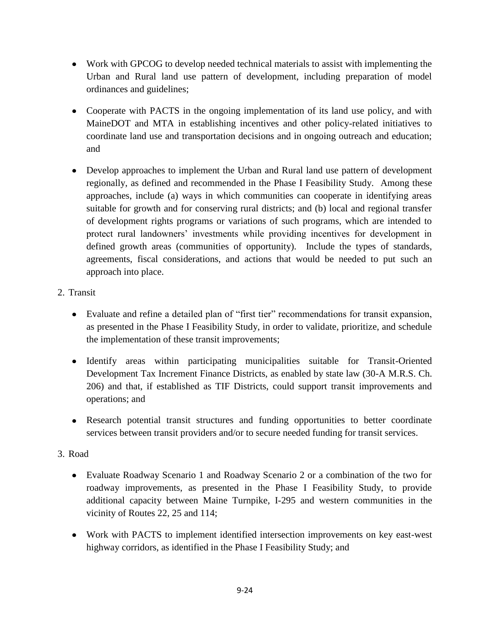- Work with GPCOG to develop needed technical materials to assist with implementing the Urban and Rural land use pattern of development, including preparation of model ordinances and guidelines;
- Cooperate with PACTS in the ongoing implementation of its land use policy, and with MaineDOT and MTA in establishing incentives and other policy-related initiatives to coordinate land use and transportation decisions and in ongoing outreach and education; and
- Develop approaches to implement the Urban and Rural land use pattern of development regionally, as defined and recommended in the Phase I Feasibility Study. Among these approaches, include (a) ways in which communities can cooperate in identifying areas suitable for growth and for conserving rural districts; and (b) local and regional transfer of development rights programs or variations of such programs, which are intended to protect rural landowners' investments while providing incentives for development in defined growth areas (communities of opportunity). Include the types of standards, agreements, fiscal considerations, and actions that would be needed to put such an approach into place.
- 2. Transit
	- Evaluate and refine a detailed plan of "first tier" recommendations for transit expansion, as presented in the Phase I Feasibility Study, in order to validate, prioritize, and schedule the implementation of these transit improvements;
	- Identify areas within participating municipalities suitable for Transit-Oriented Development Tax Increment Finance Districts, as enabled by state law (30-A M.R.S. Ch. 206) and that, if established as TIF Districts, could support transit improvements and operations; and
	- Research potential transit structures and funding opportunities to better coordinate services between transit providers and/or to secure needed funding for transit services.

### 3. Road

- Evaluate Roadway Scenario 1 and Roadway Scenario 2 or a combination of the two for roadway improvements, as presented in the Phase I Feasibility Study, to provide additional capacity between Maine Turnpike, I-295 and western communities in the vicinity of Routes 22, 25 and 114;
- Work with PACTS to implement identified intersection improvements on key east-west highway corridors, as identified in the Phase I Feasibility Study; and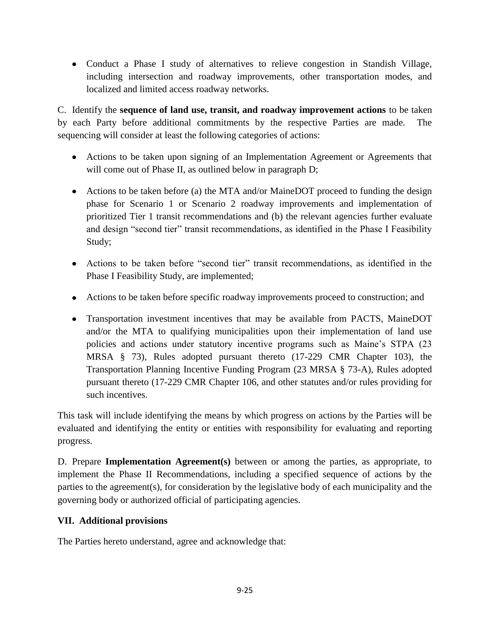Conduct a Phase I study of alternatives to relieve congestion in Standish Village, including intersection and roadway improvements, other transportation modes, and localized and limited access roadway networks.

C. Identify the **sequence of land use, transit, and roadway improvement actions** to be taken by each Party before additional commitments by the respective Parties are made. The sequencing will consider at least the following categories of actions:

- Actions to be taken upon signing of an Implementation Agreement or Agreements that will come out of Phase II, as outlined below in paragraph D;
- Actions to be taken before (a) the MTA and/or MaineDOT proceed to funding the design phase for Scenario 1 or Scenario 2 roadway improvements and implementation of prioritized Tier 1 transit recommendations and (b) the relevant agencies further evaluate and design "second tier" transit recommendations, as identified in the Phase I Feasibility Study;
- Actions to be taken before "second tier" transit recommendations, as identified in the Phase I Feasibility Study, are implemented;
- Actions to be taken before specific roadway improvements proceed to construction; and
- Transportation investment incentives that may be available from PACTS, MaineDOT and/or the MTA to qualifying municipalities upon their implementation of land use policies and actions under statutory incentive programs such as Maine's STPA (23 MRSA § 73), Rules adopted pursuant thereto (17-229 CMR Chapter 103), the Transportation Planning Incentive Funding Program (23 MRSA § 73-A), Rules adopted pursuant thereto (17-229 CMR Chapter 106, and other statutes and/or rules providing for such incentives.

This task will include identifying the means by which progress on actions by the Parties will be evaluated and identifying the entity or entities with responsibility for evaluating and reporting progress.

D. Prepare **Implementation Agreement(s)** between or among the parties, as appropriate, to implement the Phase II Recommendations, including a specified sequence of actions by the parties to the agreement(s), for consideration by the legislative body of each municipality and the governing body or authorized official of participating agencies.

#### **VII. Additional provisions**

The Parties hereto understand, agree and acknowledge that: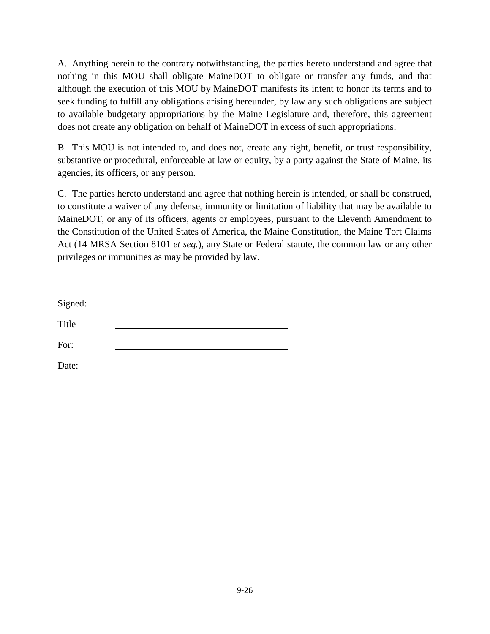A. Anything herein to the contrary notwithstanding, the parties hereto understand and agree that nothing in this MOU shall obligate MaineDOT to obligate or transfer any funds, and that although the execution of this MOU by MaineDOT manifests its intent to honor its terms and to seek funding to fulfill any obligations arising hereunder, by law any such obligations are subject to available budgetary appropriations by the Maine Legislature and, therefore, this agreement does not create any obligation on behalf of MaineDOT in excess of such appropriations.

B. This MOU is not intended to, and does not, create any right, benefit, or trust responsibility, substantive or procedural, enforceable at law or equity, by a party against the State of Maine, its agencies, its officers, or any person.

C. The parties hereto understand and agree that nothing herein is intended, or shall be construed, to constitute a waiver of any defense, immunity or limitation of liability that may be available to MaineDOT, or any of its officers, agents or employees, pursuant to the Eleventh Amendment to the Constitution of the United States of America, the Maine Constitution, the Maine Tort Claims Act (14 MRSA Section 8101 *et seq.*), any State or Federal statute, the common law or any other privileges or immunities as may be provided by law.

| Signed: |  |  |
|---------|--|--|
| Title   |  |  |
| For:    |  |  |
| Date:   |  |  |